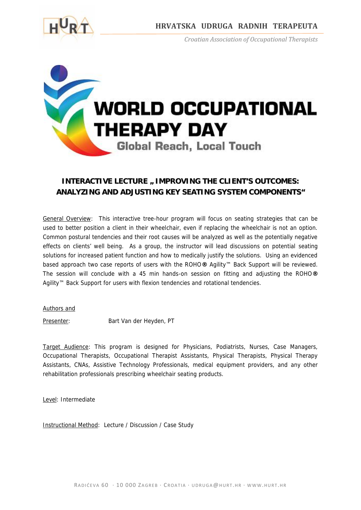

 *Croatian Association of Occupational Therapists*



## **INTERACTIVE LECTURE " IMPROVING THE CLIENT'S OUTCOMES: ANALYZING AND ADJUSTING KEY SEATING SYSTEM COMPONENTS"**

General Overview: This interactive tree-hour program will focus on seating strategies that can be used to better position a client in their wheelchair, even if replacing the wheelchair is not an option. Common postural tendencies and their root causes will be analyzed as well as the potentially negative effects on clients' well being. As a group, the instructor will lead discussions on potential seating solutions for increased patient function and how to medically justify the solutions. Using an evidenced based approach two case reports of users with the ROHO**®** Agility™ Back Support will be reviewed. The session will conclude with a 45 min hands-on session on fitting and adjusting the ROHO**®** Agility™ Back Support for users with flexion tendencies and rotational tendencies.

Authors and

Presenter: Bart Van der Heyden, PT

Target Audience: This program is designed for Physicians, Podiatrists, Nurses, Case Managers, Occupational Therapists, Occupational Therapist Assistants, Physical Therapists, Physical Therapy Assistants, CNAs, Assistive Technology Professionals, medical equipment providers, and any other rehabilitation professionals prescribing wheelchair seating products.

Level: Intermediate

Instructional Method: Lecture / Discussion / Case Study